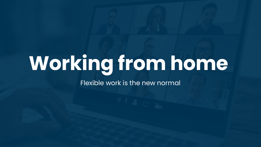# **Working from home**

Flexible work is the new normal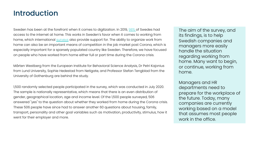#### Introduction

Sweden has been at the forefront when it comes to digitization. In 2019, [98%](https://svenskarnaochinternet.se/rapporter/svenskarna-och-internet-2018/allmant-om-internetutvecklingen/98-procent-har-tillgang-till-internet-hemma/) of Swedes had access to the internet at home. This works in Sweden's favor when it comes to working from home, which international [surveys](https://www.svd.se/arbetsplatsen--kommer-vi-nagonsin-att-ga-tillbaka) also provide support for. The ability to organize work from home can also be an important means of competition in the job market post Corona, which is especially important for a sparsely populated country like Sweden. Therefore, we have focused on people who have worked from home either full or part time during the Corona crisis.

Mårten Westberg from the European Institute for Behavioral Science Analysis, Dr Petri Kajonius from Lund University, Sophie Hedestad from Netigate, and Professor Stefan Tengblad from the University of Gothenburg are behind the study.

1,500 randomly selected people participated in the survey, which was conducted in July 2020. The sample is nationally representative, which means that there is an even distribution of gender, geographical location, age and income level. Of the 1,500 people surveyed, 506 answered "yes" to the question about whether they worked from home during the Corona crisis. These 506 people have since had to answer another 60 questions about housing, family, transport, personality and other goal variables such as motivation, productivity, stimulus, how it went for their employer and more.

The aim of the survey, and its findings, is to help Swedish companies and managers more easily handle the situation regarding working from home. Many want to begin, or continue, working from home.

Managers and HR departments need to prepare for the workplace of the future. Today, many companies are currently working based on a model that assumes most people work in the office.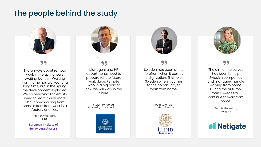#### The people behind the study



The surveys about remote work in the spring were exciting but thin. Working from home has worked for a long time, but in the spring the development exploded. We as behavioral scientists need to learn much more about how working from home differs from work in a factory or office.

> Mårten Westberg, EIBA

**European Institute of Behavioural Analysis**



Managers and HR departments need to prepare for the future workplace. Remote work is a big part of how we will work in the future. **22**<br> **S** about remote<br> **Example 22**<br> **Managers departments** 

> Stefan Tengblad, University of Gothenburg





**99**<br>Sweden has been at the forefront when it comes to digitization. This helps Sweden when it comes to the opportunity to work from home.

> Petri Kajonius, Lunds University





**99**<br>The aim of the survey has been to help Swedish companies and managers handle working from home. During the autumn, many Swedes will continue to work from home.

> Sophie Hedestad, Netigate

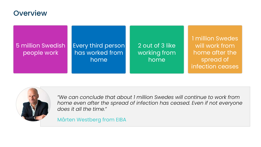#### **Overview**

#### 5 million Swedish people work

#### Every third person has worked from home<sup>'</sup>

2 out of 3 like working from home

1 million Swedes will work from home after the spread of infection ceases



*"We can conclude that about 1 million Swedes will continue to work from home even after the spread of infection has ceased. Even if not everyone does it all the time."*

Mårten Westberg from EIBA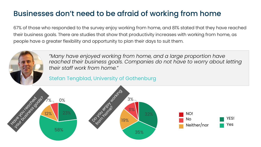# Businesses don't need to be afraid of working from home

67% of those who responded to the survey enjoy working from home, and 81% stated that they have reached their business goals. There are studies that show that productivity increases with working from home, as people have a greater flexibility and opportunity to plan their days to suit them.



*"Many have enjoyed working from home, and a large proportion have reached their business goals. Companies do not have to worry about letting their staff work from home."*

Stefan Tengblad, University of Gothenburg

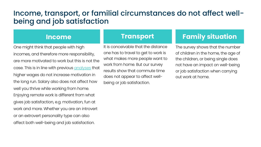#### Income, transport, or familial circumstances do not affect wellbeing and job satisfaction

One might think that people with high incomes, and therefore more responsibility, are more motivated to work but this is not the case. This is in line with previous [analyses](https://www.dn.se/arkiv/ekonomi/hogre-lon-okar-inte-motivationen/) that higher wages do not increase motivation in the long run. Salary also does not affect how well you thrive while working from home. Enjoying remote work is different from what gives job satisfaction, e.g. motivation, fun at work and more. Whether you are an introvert or an extrovert personality type can also affect both well-being and job satisfaction.

#### **Income Transport**

It is conceivable that the distance one has to travel to get to work is what makes more people want to work from home. But our survey results show that commute time does not appear to affect wellbeing or job satisfaction.

#### **Family situation**

The survey shows that the number of children in the home, the age of the children, or being single does not have an impact on well-being or job satisfaction when carrying out work at home.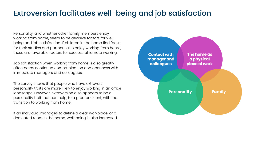#### Extroversion facilitates well-being and job satisfaction

Personality, and whether other family members enjoy working from home, seem to be decisive factors for wellbeing and job satisfaction. If children in the home find focus for their studies and partners also enjoy working from home, these are favorable factors for successful remote working.

Job satisfaction when working from home is also greatly affected by continued communication and openness with immediate managers and colleagues.

The survey shows that people who have extrovert personality traits are more likely to enjoy working in an office landscape. However, extroversion also appears to be a personality trait that can help, to a greater extent, with the transition to working from home.

If an individual manages to define a clear workplace, or a dedicated room in the home, well-being is also increased.

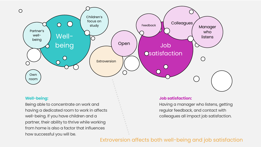

#### **Well-being:**

Being able to concentrate on work and having a dedicated room to work in affects well-being. If you have children and a partner, their ability to thrive while working from home is also a factor that influences how successful you will be.

#### **Job satisfaction:**

Having a manager who listens, getting regular feedback, and contact with colleagues all impact job satisfaction.

#### Extroversion affects both well-being and job satisfaction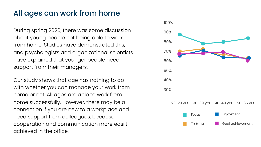### All ages can work from home

During spring 2020, there was some discussion about young people not being able to work from home. Studies have demonstrated this, and psychologists and organizational scientists have explained that younger people need support from their managers.

Our study shows that age has nothing to do with whether you can manage your work from home or not. All ages are able to work from home successfully. However, there may be a connection if you are new to a workplace and need support from colleagues, because cooperation and communication more easilt achieved in the office.

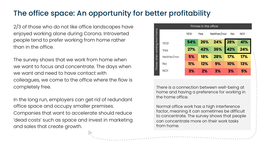# The office space: An opportunity for better profitability

2/3 of those who do not like office landscapes have enjoyed working alone during Corona. Introverted people tend to prefer working from home rather than in the office.

The survey shows that we work from home when we want to focus and concentrate. The days when we want and need to have contact with colleagues, we come to the office where the flow is completely free.

In the long run, employers can get rid of redundant office space and occupy smaller premises. Companies that want to accelerate should reduce 'dead costs' such as space and invest in marketing and sales that create growth.



There is a connection between well-being at home and having a preference for working in the home office.

Normal office work has a high interference factor, meaning it can sometimes be difficult to concentrate. The survey shows that people can concentrate more on their work tasks from home.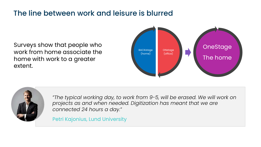#### The line between work and leisure is blurred

Surveys show that people who work from home associate the home with work to a greater extent.





*"The typical working day, to work from 9-5, will be erased. We will work on projects as and when needed. Digitization has meant that we are connected 24 hours a day."*

Petri Kajonius, Lund University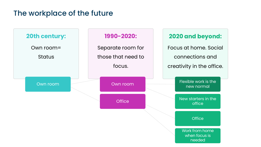#### The workplace of the future

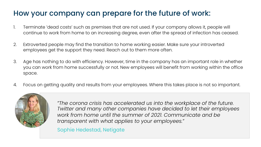# How your company can prepare for the future of work:

- 1. Terminate 'dead costs' such as premises that are not used. If your company allows it, people will continue to work from home to an increasing degree, even after the spread of infection has ceased.
- 2. Extroverted people may find the transition to home working easier. Make sure your introverted employees get the support they need. Reach out to them more often.
- 3. Age has nothing to do with efficiency. However, time in the company has an important role in whether you can work from home successfully or not. New employees will benefit from working within the office space.
- 4. Focus on getting quality and results from your employees. Where this takes place is not so important.



*"The corona crisis has accelerated us into the workplace of the future. Twitter and many other companies have decided to let their employees work from home until the summer of 2021. Communicate and be transparent with what applies to your employees."*

Sophie Hedestad, Netigate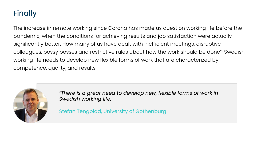## Finally

The increase in remote working since Corona has made us question working life before the pandemic, when the conditions for achieving results and job satisfaction were actually significantly better. How many of us have dealt with inefficient meetings, disruptive colleagues, bossy bosses and restrictive rules about how the work should be done? Swedish working life needs to develop new flexible forms of work that are characterized by competence, quality, and results.



*"There is a great need to develop new, flexible forms of work in Swedish working life."*

Stefan Tengblad, University of Gothenburg